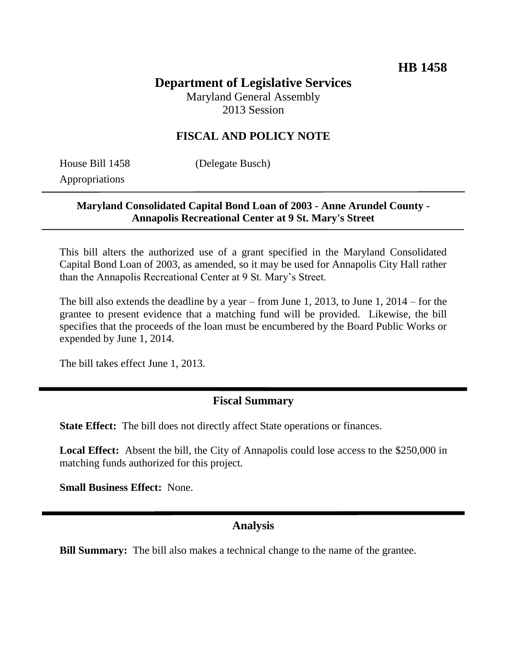# **Department of Legislative Services**

Maryland General Assembly 2013 Session

## **FISCAL AND POLICY NOTE**

House Bill 1458 (Delegate Busch) Appropriations

## **Maryland Consolidated Capital Bond Loan of 2003 - Anne Arundel County - Annapolis Recreational Center at 9 St. Mary's Street**

This bill alters the authorized use of a grant specified in the Maryland Consolidated Capital Bond Loan of 2003, as amended, so it may be used for Annapolis City Hall rather than the Annapolis Recreational Center at 9 St. Mary's Street.

The bill also extends the deadline by a year – from June 1, 2013, to June 1, 2014 – for the grantee to present evidence that a matching fund will be provided. Likewise, the bill specifies that the proceeds of the loan must be encumbered by the Board Public Works or expended by June 1, 2014.

The bill takes effect June 1, 2013.

#### **Fiscal Summary**

**State Effect:** The bill does not directly affect State operations or finances.

**Local Effect:** Absent the bill, the City of Annapolis could lose access to the \$250,000 in matching funds authorized for this project.

**Small Business Effect:** None.

#### **Analysis**

**Bill Summary:** The bill also makes a technical change to the name of the grantee.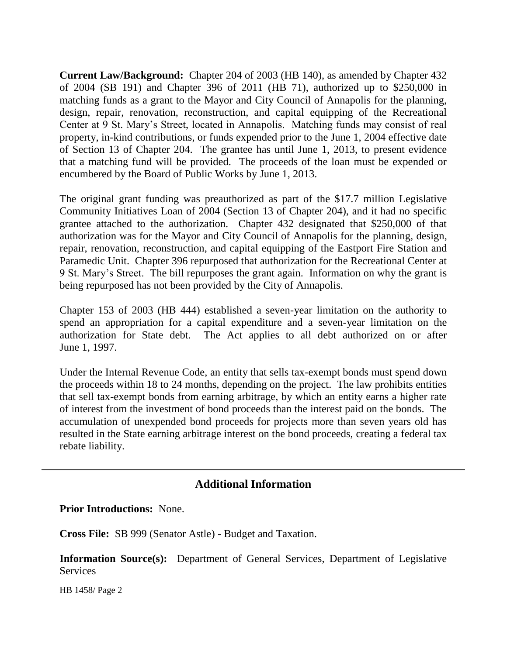**Current Law/Background:** Chapter 204 of 2003 (HB 140), as amended by Chapter 432 of 2004 (SB 191) and Chapter 396 of 2011 (HB 71), authorized up to \$250,000 in matching funds as a grant to the Mayor and City Council of Annapolis for the planning, design, repair, renovation, reconstruction, and capital equipping of the Recreational Center at 9 St. Mary's Street, located in Annapolis. Matching funds may consist of real property, in-kind contributions, or funds expended prior to the June 1, 2004 effective date of Section 13 of Chapter 204. The grantee has until June 1, 2013, to present evidence that a matching fund will be provided. The proceeds of the loan must be expended or encumbered by the Board of Public Works by June 1, 2013.

The original grant funding was preauthorized as part of the \$17.7 million Legislative Community Initiatives Loan of 2004 (Section 13 of Chapter 204), and it had no specific grantee attached to the authorization. Chapter 432 designated that \$250,000 of that authorization was for the Mayor and City Council of Annapolis for the planning, design, repair, renovation, reconstruction, and capital equipping of the Eastport Fire Station and Paramedic Unit. Chapter 396 repurposed that authorization for the Recreational Center at 9 St. Mary's Street. The bill repurposes the grant again. Information on why the grant is being repurposed has not been provided by the City of Annapolis.

Chapter 153 of 2003 (HB 444) established a seven-year limitation on the authority to spend an appropriation for a capital expenditure and a seven-year limitation on the authorization for State debt. The Act applies to all debt authorized on or after June 1, 1997.

Under the Internal Revenue Code, an entity that sells tax-exempt bonds must spend down the proceeds within 18 to 24 months, depending on the project. The law prohibits entities that sell tax-exempt bonds from earning arbitrage, by which an entity earns a higher rate of interest from the investment of bond proceeds than the interest paid on the bonds. The accumulation of unexpended bond proceeds for projects more than seven years old has resulted in the State earning arbitrage interest on the bond proceeds, creating a federal tax rebate liability.

# **Additional Information**

**Prior Introductions:** None.

**Cross File:** SB 999 (Senator Astle) - Budget and Taxation.

**Information Source(s):** Department of General Services, Department of Legislative **Services** 

HB 1458/ Page 2